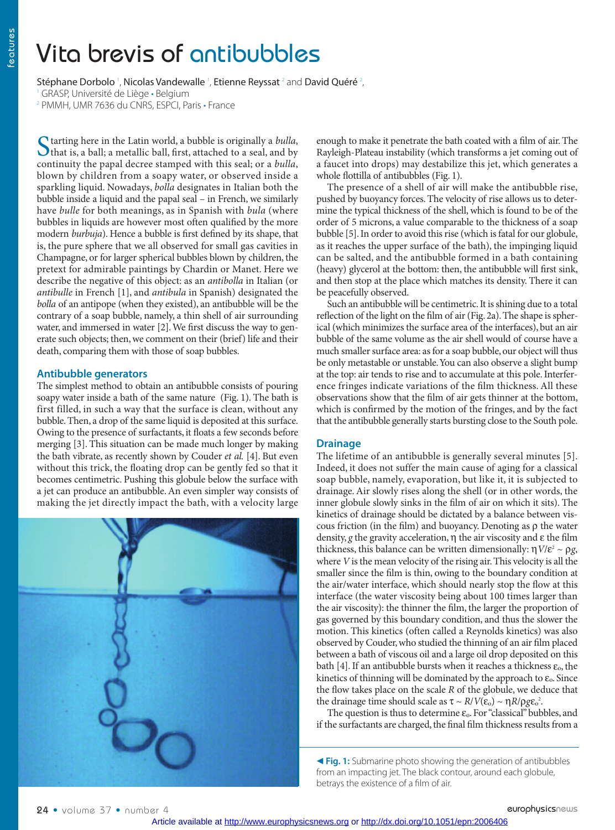# Vita brevis of antibubbles

Stéphane Dorbolo <sup>1</sup>, Nicolas Vandewalle <sup>1</sup>, Etienne Reyssat <sup>2</sup> and David Quéré <sup>2</sup> ,

<sup>1</sup> GRASP, Université de Liège • Belgium

<sup>2</sup> PMMH, UMR 7636 du CNRS, ESPCI, Paris • France

Starting here in the Latin world, a bubble is originally a *bulla*,<br>that is, a ball; a metallic ball, first, attached to a seal, and by<br>continuity the panel degree stamped with this seal, an a hulla continuity the papal decree stamped with this seal; or a bulla, blown by children from a soapy water, or observed inside a sparkling liquid. Nowadays, bolla designates in Italian both the bubble inside a liquid and the papal seal – in French, we similarly have bulle for both meanings, as in Spanish with bula (where bubbles in liquids are however most often qualified by the more modern burbuja). Hence a bubble is first defined by its shape, that is, the pure sphere that we all observed for small gas cavities in Champagne, or for larger spherical bubbles blown by children, the pretext for admirable paintings by Chardin or Manet. Here we describe the negative of this object: as an antibolla in Italian (or antibulle in French [1], and antibula in Spanish) designated the bolla of an antipope (when they existed), an antibubble will be the contrary of a soap bubble, namely, a thin shell of air surrounding water, and immersed in water [2]. We first discuss the way to generate such objects; then, we comment on their (brief) life and their death, comparing them with those of soap bubbles.

## **Antibubble generators**

The simplest method to obtain an antibubble consists of pouring soapy water inside a bath of the same nature (Fig. 1). The bath is first filled, in such a way that the surface is clean, without any bubble. Then, a drop of the same liquid is deposited at this surface. Owing to the presence of surfactants, it floats a few seconds before merging [3]. This situation can be made much longer by making the bath vibrate, as recently shown by Couder et al. [4]. But even without this trick, the floating drop can be gently fed so that it becomes centimetric. Pushing this globule below the surface with a jet can produce an antibubble. An even simpler way consists of making the jet directly impact the bath, with a velocity large



enough to make it penetrate the bath coated with a film of air. The Rayleigh-Plateau instability (which transforms a jet coming out of a faucet into drops) may destabilize this jet, which generates a whole flottilla of antibubbles (Fig. 1).

The presence of a shell of air will make the antibubble rise, pushed by buoyancy forces. The velocity of rise allows us to determine the typical thickness of the shell, which is found to be of the order of 5 microns, a value comparable to the thickness of a soap bubble [5]. In order to avoid this rise (which is fatal for our globule, as it reaches the upper surface of the bath), the impinging liquid can be salted, and the antibubble formed in a bath containing (heavy) glycerol at the bottom: then, the antibubble will first sink, and then stop at the place which matches its density. There it can be peacefully observed.

Such an antibubble will be centimetric. It is shining due to a total reflection of the light on the film of air (Fig. 2a). The shape is spherical (which minimizes the surface area of the interfaces), but an air bubble of the same volume as the air shell would of course have a much smaller surface area: as for a soap bubble, our object will thus be only metastable or unstable.You can also observe a slight bump at the top: air tends to rise and to accumulate at this pole. Interference fringes indicate variations of the film thickness. All these observations show that the film of air gets thinner at the bottom, which is confirmed by the motion of the fringes, and by the fact that the antibubble generally starts bursting close to the South pole.

## **Drainage**

The lifetime of an antibubble is generally several minutes [5]. Indeed, it does not suffer the main cause of aging for a classical soap bubble, namely, evaporation, but like it, it is subjected to drainage. Air slowly rises along the shell (or in other words, the inner globule slowly sinks in the film of air on which it sits). The kinetics of drainage should be dictated by a balance between viscous friction (in the film) and buoyancy. Denoting as ρ the water density, g the gravity acceleration,  $\eta$  the air viscosity and  $\varepsilon$  the film thickness, this balance can be written dimensionally:  $ηV/\varepsilon^2 ~sim \rho g$ , where V is the mean velocity of the rising air. This velocity is all the smaller since the film is thin, owing to the boundary condition at the air/water interface, which should nearly stop the flow at this interface (the water viscosity being about 100 times larger than the air viscosity): the thinner the film, the larger the proportion of gas governed by this boundary condition, and thus the slower the motion. This kinetics (often called a Reynolds kinetics) was also observed by Couder, who studied the thinning of an air film placed between a bath of viscous oil and a large oil drop deposited on this bath [4]. If an antibubble bursts when it reaches a thickness  $\varepsilon_{0}$ , the kinetics of thinning will be dominated by the approach to  $\varepsilon_{o}$ . Since the flow takes place on the scale  $R$  of the globule, we deduce that the drainage time should scale as  $\tau \sim R/V(\epsilon_0) \sim \eta R/ \rho g \epsilon_0^2$ .

The question is thus to determine  $\varepsilon_{o}$ . For "classical" bubbles, and if the surfactants are charged, the final film thickness results from a

b **Fig. 1:** Submarine photo showing the generation of antibubbles from an impacting jet. The black contour, around each globule, betrays the existence of a film of air.

Article available at<http://www.europhysicsnews.org>or<http://dx.doi.org/10.1051/epn:2006406>